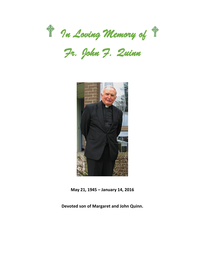

*Fr. John F. Quinn* 



**May 21, 1945 – January 14, 2016**

**Devoted son of Margaret and John Quinn.**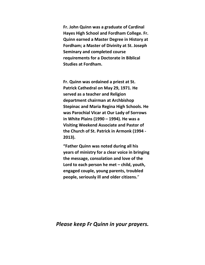**Fr. John Quinn was a graduate of Cardinal Hayes High School and Fordham College. Fr. Quinn earned a Master Degree in History at Fordham; a Master of Divinity at St. Joseph Seminary and completed course requirements for a Doctorate in Biblical Studies at Fordham.**

**Fr. Quinn was ordained a priest at St. Patrick Cathedral on May 29, 1971. He served as a teacher and Religion department chairman at Archbishop Stepinac and Maria Regina High Schools. He was Parochial Vicar at Our Lady of Sorrows in White Plains (1990 – 1994). He was a Visiting Weekend Associate and Pastor of the Church of St. Patrick in Armonk (1994 - 2013).**

**"Father Quinn was noted during all his years of ministry for a clear voice in bringing the message, consolation and love of the Lord to each person he met – child, youth, engaged couple, young parents, troubled people, seriously ill and older citizens.**"

## *Please keep Fr Quinn in your prayers.*